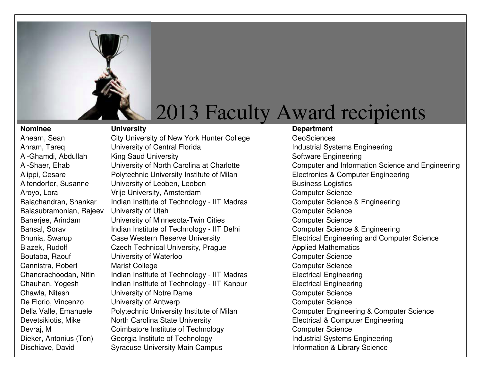

Balasubramonian, Rajeev

**Nominee Construction University Construction Construction Construction Construction Department** Ahearn, Sean City University of New York Hunter College Ahram, Tareq **Interpretering** University of Central Florida Industrial Systems Engineering Al-Ghamdi, Abdullah King Saud University Number of Software Engineering Alippi, Cesare **Polytechnic University Institute of Milan** Electronics & Computer Engineering Altendorfer, Susanne University of Leoben, Leoben Business Logistics Aroyo, Lora **Vrije University, Amsterdam** Computer Science Balachandran, Shankar Indian Institute of Technology - IIT Madras Computer Science & Engineering University of Utah<br>
University of Minnesota-Twin Cities<br>
Computer Science<br>
Computer Science Banerjee, Arindam University of Minnesota-Twin Cities Bansal, Sorav Indian Institute of Technology - IIT Delhi Computer Science & Engineering Blazek, Rudolf **Czech Technical University, Prague** Applied Mathematics Boutaba, Raouf **University of Waterloo** Computer Science Cannistra, Robert Marist College Cannistra, Robert Computer Science Chandrachoodan, Nitin Indian Institute of Technology - IIT Madras Electrical Engineering Chauhan, Yogesh Indian Institute of Technology - IIT Kanpur Electrical Engineering Chawla, Nitesh **University of Notre Dame** Chawless **Computer Science** De Florio, Vincenzo **University of Antwerp** Computer Science Computer Science Devetsikiotis, Mike North Carolina State University **Electrical & Computer Engineering** Devraj, M Coimbatore Institute of Technology Computer Science Dieker, Antonius (Ton) Georgia Institute of Technology **Industrial Systems Engineering** 

GeoSciences Al-Shaer, Ehab **University of North Carolina at Charlotte** Computer and Information Science and Engineering Bhunia, Swarup Case Western Reserve University **Electrical Engineering and Computer Science** Della Valle, Emanuele Polytechnic University Institute of Milan Computer Engineering & Computer Science Dischiave, David Syracuse University Main Campus **Information & Library Science**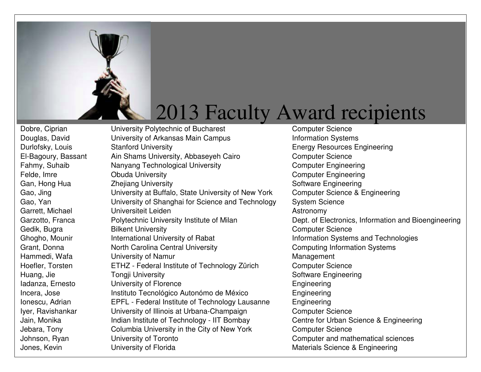

Dobre, Ciprian **University Polytechnic of Bucharest** Computer Science Douglas, David **University of Arkansas Main Campus** Information Systems Durlofsky, Louis Stanford University **Energy Resources Engineering** El-Bagoury, Bassant Ain Shams University, Abbaseyeh Cairo Computer Science Fahmy, Suhaib Nanyang Technological University Computer Engineering Felde, Imre **Computer Computer Computer Computer Computer Engineering** Gan, Hong Hua **Zhejiang University Software Engineering** Software Engineering Gao, Jing University at Buffalo, State University of New York Computer Science & Engineering Gao, Yan **Example 3** University of Shanghai for Science and Technology System Science Garrett, Michael Universiteit Leiden Astronomy Garzotto, Franca **Polytechnic University Institute of Milan** Dept. of Electronics, Information and Bioengineering Gedik, Bugra **Bilkent University** Computer Science Ghogho, Mounir **International University of Rabat Information Systems and Technologies** Grant, Donna **North Carolina Central University** Computing Information Systems Hammedi, Wafa **University of Namur** Management Hoefler, Torsten ETHZ - Federal Institute of Technology Zürich Computer Science Huang, Jie **Software Engineering** Tongji University Software Engineering Iadanza, Ernesto **Iniversity of Florence Engineering** Engineering Incera, Jose Instituto Tecnológico Autonómo de México Ionescu, Adrian EPFL - Federal Institute of Technology Lausanne Engineering Iyer, Ravishankar **University of Illinois at Urbana-Champaign** Computer Science Jain, Monika **Indian Institute of Technology - IIT Bombay** Centre for Urban Science & Engineering Jebara, Tony Columbia University in the City of New York Computer Science

Engineering Johnson, Ryan **University of Toronto** Computer and mathematical sciences Jones, Kevin **Engineering** University of Florida Materials Science & Engineering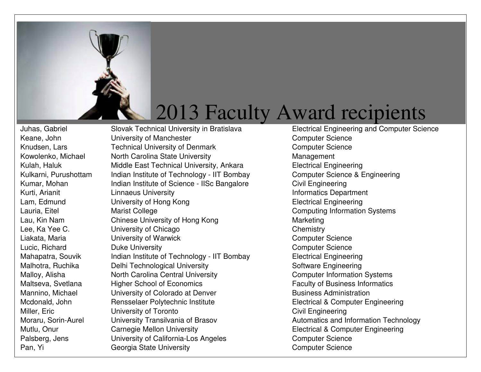

Keane, John **University of Manchester** Computer Science Computer Science Knudsen, Lars **Technical University of Denmark** Computer Science Kowolenko, Michael Morth Carolina State University Management Kulah, Haluk Middle East Technical University, Ankara Kulkarni, Purushottam Indian Institute of Technology - IIT Bombay Computer Science & Engineering Kumar, Mohan **Indian Institute of Science - IISc Bangalore** Civil Engineering Kurti, Arianit **Informatics Department** Linnaeus University **Informatics Department** Lam, Edmund **Electrical Engineering** University of Hong Kong **Electrical Engineering** Lauria, Eitel **Eitel** Marist College **Computing Information Systems** Lau, Kin Nam Chinese University of Hong Kong Theorem Marketing Lee, Ka Yee C. Chemistry University of Chicago Chemistry Chemistry Liakata, Maria **Computer Science** University of Warwick Computer Science Computer Science Lucic, Richard **Duke University** Computer Science Computer Science Mahapatra, Souvik Indian Institute of Technology - IIT Bombay Electrical Engineering Malhotra, Ruchika **Delhi Technological University** Software Engineering Malloy, Alisha **North Carolina Central University** Computer Information Systems Maltseva, Svetlana Higher School of Economics Faculty of Business Informatics Mannino, Michael **University of Colorado at Denver** Business Administration Mcdonald, John Rensselaer Polytechnic Institute Electrical & Computer Engineering Miller, Eric **Civil Engineering** University of Toronto **Civil Engineering** Moraru, Sorin-Aurel University Transilvania of Brasov **Automatics and Information Technology** Mutlu, Onur **Carnegie Mellon University Electrical & Computer Engineering** Palsberg, Jens **University of California-Los Angeles** Computer Science Pan, Yi Georgia State University Computer Science Computer Science

Juhas, Gabriel Slovak Technical University in Bratislava Electrical Engineering and Computer Science **Electrical Engineering**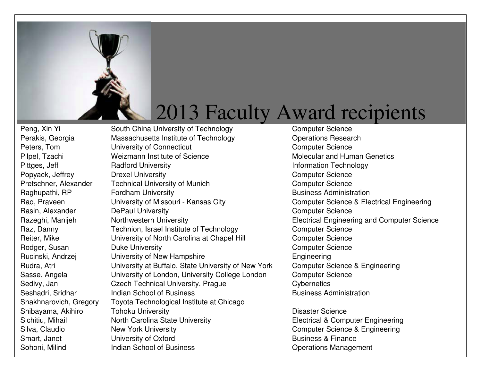

Peng, Xin Yi South China University of Technology Computer Science Perakis, Georgia Massachusetts Institute of Technology Peters, Tom **Example 20 University of Connecticut** Computer Science Computer Science Pilpel, Tzachi **Music and Weizmann Institute of Science Music and Human Genetics Molecular and Human Genetics** Pittges, Jeff **Radford University Information Technology Information Technology** Popyack, Jeffrey **Drexel University Deally Computer Science Computer Science** Pretschner, Alexander Technical University of Munich Computer Science Raghupathi, RP **Fordham University Business Administration Business Administration** Rao, Praveen University of Missouri - Kansas City Computer Science & Electrical Engineering Rasin, Alexander **DePaul University** Computer Science Razeghi, Manijeh Northwestern University **Electrical Engineering and Computer Science** Raz, Danny **Technion, Israel Institute of Technology** Computer Science Reiter, Mike **Example 20 University of North Carolina at Chapel Hill** Computer Science Rodger, Susan **Duke University** Computer Science Computer Science Rucinski, Andrzej **Engineering** University of New Hampshire **Engineering** Rudra, Atri **Engine University at Buffalo, State University of New York** Sasse, Angela **Exercicial Contract University of London**, University College London Computer Science Sedivy, Jan Czech Technical University, Prague Cybernetics Seshadri, Sridhar **Indian School of Business** Business Administration Shakhnarovich, Gregory Toyota Technological Institute at Chicago Shibayama, Akihiro **Tohoku University Disaster Science Disaster Science** Sichitiu, Mihail **North Carolina State University** Electrical & Computer Engineering Silva, Claudio **New York University** Computer Science & Engineering Smart, Janet **Example 20 University of Oxford** Business & Finance Sohoni, Milind **Indian School of Business Containers** Operations Management

**Operations Research Computer Science & Engineering**